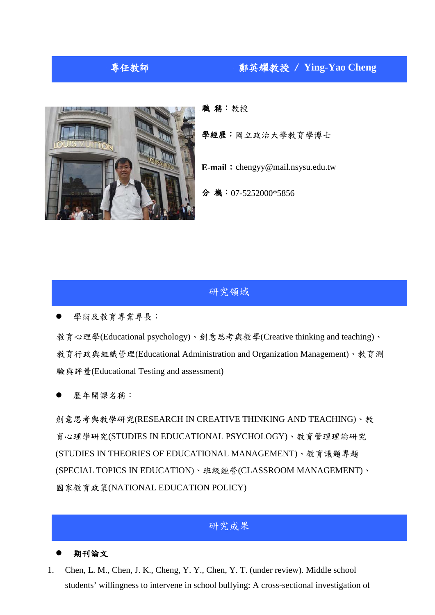# 專任教師 鄭英耀教授 / **Ying-Yao Cheng**



職稱:教授

學經歷:國立政治大學教育學博士

**E-mail**:[chengyy@mail.nsysu.edu.tw](mailto:chengyy@mail.nsysu.edu.tw)

分機:07-5252000\*5856

## 研究領域

學術及教育專業專長:

教育心理學(Educational psychology)、創意思考與教學(Creative thinking and teaching)、 教育行政與組織管理(Educational Administration and Organization Management)、教育測 驗與評量(Educational Testing and assessment)

歷年開課名稱:

創意思考與教學研究(RESEARCH IN CREATIVE THINKING AND TEACHING)、教 育心理學研究(STUDIES IN EDUCATIONAL PSYCHOLOGY)、教育管理理論研究 (STUDIES IN THEORIES OF EDUCATIONAL MANAGEMENT)、教育議題專題 (SPECIAL TOPICS IN EDUCATION)、班級經營(CLASSROOM MANAGEMENT)、 國家教育政策(NATIONAL EDUCATION POLICY)

## 研究成果

### 期刊論文

1. Chen, L. M., Chen, J. K., Cheng, Y. Y., Chen, Y. T. (under review). Middle school students' willingness to intervene in school bullying: A cross-sectional investigation of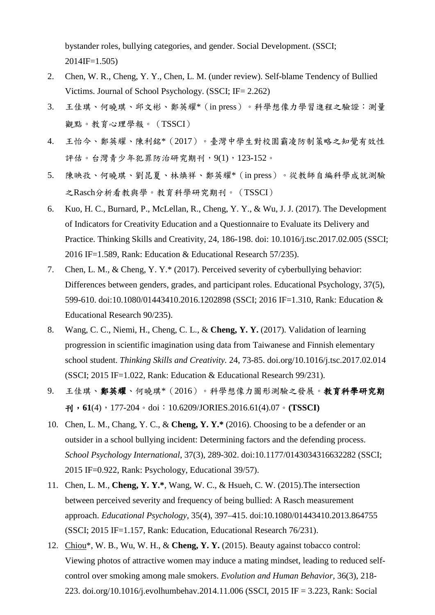bystander roles, bullying categories, and gender. Social Development. (SSCI; 2014IF=1.505)

- 2. Chen, W. R., Cheng, Y. Y., Chen, L. M. (under review). Self-blame Tendency of Bullied Victims. Journal of School Psychology. (SSCI; IF= 2.262)
- 3. 王佳琪、何曉琪、邱文彬、鄭英耀\*(in press)。科學想像力學習進程之驗證:測量 觀點。教育心理學報。(TSSCI)
- 4. 王怡今、鄭英耀、陳利銘\*(2017)。臺灣中學生對校園霸凌防制策略之知覺有效性 評估。台灣青少年犯罪防治研究期刊,9(1),123-152。
- 5. 陳映孜、何曉琪、劉昆夏、林煥祥、鄭英耀\*(in press)。從教師自編科學成就測驗 之Rasch分析看教與學。教育科學研究期刊。(TSSCI)
- 6. Kuo, H. C., Burnard, P., McLellan, R., Cheng, Y. Y., & Wu, J. J. (2017). The Development of Indicators for Creativity Education and a Questionnaire to Evaluate its Delivery and Practice. Thinking Skills and Creativity, 24, 186-198. doi: 10.1016/j.tsc.2017.02.005 (SSCI; 2016 IF=1.589, Rank: Education & Educational Research 57/235).
- 7. Chen, L. M., & Cheng, Y. Y.\* (2017). Perceived severity of cyberbullying behavior: Differences between genders, grades, and participant roles. Educational Psychology, 37(5), 599-610. doi:10.1080/01443410.2016.1202898 (SSCI; 2016 IF=1.310, Rank: Education & Educational Research 90/235).
- 8. Wang, C. C., Niemi, H., Cheng, C. L., & **Cheng, Y. Y.** (2017). Validation of learning progression in scientific imagination using data from Taiwanese and Finnish elementary school student. *Thinking Skills and Creativity.* 24, 73-85. doi.org/10.1016/j.tsc.2017.02.014 (SSCI; 2015 IF=1.022, Rank: Education & Educational Research 99/231).
- 9. 王佳琪、鄭英耀、何曉琪\*(2016)。科學想像力圖形測驗之發展。教育科學研究期 刊,**61**(4),177-204。doi:10.6209/JORIES.2016.61(4).07。**(TSSCI)**
- 10. Chen, L. M., Chang, Y. C., & **Cheng, Y. Y.\*** (2016). Choosing to be a defender or an outsider in a school bullying incident: Determining factors and the defending process. *School Psychology International*, 37(3), 289-302. doi:10.1177/0143034316632282 (SSCI; 2015 IF=0.922, Rank: Psychology, Educational 39/57).
- 11. Chen, L. M., **Cheng, Y. Y.\***, Wang, W. C., & Hsueh, C. W. (2015).The intersection between perceived severity and frequency of being bullied: A Rasch measurement approach. *Educational Psychology*, 35(4), 397–415. doi:10.1080/01443410.2013.864755 (SSCI; 2015 IF=1.157, Rank: Education, Educational Research 76/231).
- 12. Chiou\*, W. B., Wu, W. H., & **Cheng, Y. Y.** (2015). Beauty against tobacco control: Viewing photos of attractive women may induce a mating mindset, leading to reduced selfcontrol over smoking among male smokers. *Evolution and Human Behavior,* 36(3), 218- 223. [doi.org/10.1016/j.evolhumbehav.2014.11.006](http://dx.doi.org/10.1016/j.evolhumbehav.2014.11.006) (SSCI, 2015 IF = 3.223, Rank: Social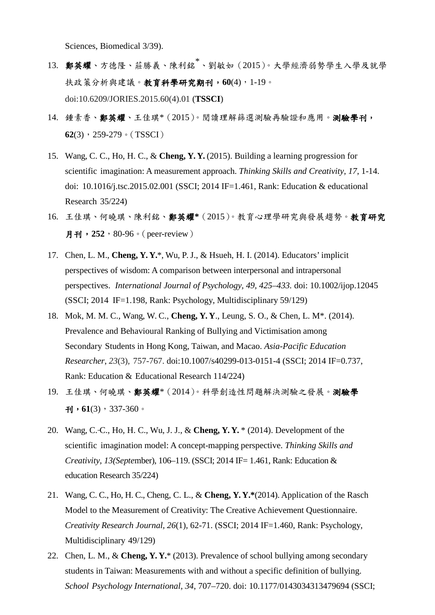Sciences, Biomedical 3/39).

- 13. 鄭英耀、方德隆、莊勝義、陳利銘<sup>\*</sup>、劉敏如 (2015)。大學經濟弱勢學生入學及就學 扶政策分析與建議。教育科學研究期刊,**60**(4),1-19。 doi:10.6209/JORIES.2015.60(4).01 (**TSSCI**)
- 14. 鍾素香、鄭英耀、王佳琪\*(2015)。閱讀理解篩選測驗再驗證和應用。測驗學刊, **62**(3),259-279。(TSSCI)
- 15. Wang, C. C., Ho, H. C., & **Cheng, Y. Y.** (2015). Building a learning progression for scientific imagination: A measurement approach. *Thinking Skills and Creativity, 17*, 1-14. doi: 10.1016/j.tsc.2015.02.001 (SSCI; 2014 IF=1.461, Rank: Education & educational Research 35/224)
- 16. 王佳琪、何曉琪、陳利銘、鄭英耀**\***(2015)。教育心理學研究與發展趨勢。教育研究 月刊,**252**,80-96。(peer-review)
- 17. Chen, L. M., **Cheng, Y. Y.**\*, Wu, P.J., & Hsueh, H. I. (2014). Educators' implicit perspectives of wisdom: A comparison between interpersonal and intrapersonal perspectives. *International Journal of Psychology, 49, 425–433.* doi: 10.1002/ijop.12045 (SSCI; 2014 IF=1.198, Rank: Psychology, Multidisciplinary 59/129)
- 18. Mok, M. M. C., Wang, W. C., **Cheng, Y. Y**., Leung, S. O., & Chen, L. M\*. (2014). Prevalence and Behavioural Ranking of Bullying and Victimisation among Secondary Students in Hong Kong, Taiwan, and Macao. *Asia-Pacific Education Researcher*, *23*(3), 757-767. doi:10.1007/s40299-013-0151-4 (SSCI; 2014 IF=0.737, Rank: Education & Educational Research 114/224)
- 19. 王佳琪、何曉琪、鄭英耀\*(2014)。科學創造性問題解決測驗之發展。測驗學  $\overline{1}$ , **61**(3), 337-360。
- 20. Wang, C. C., Ho, H. C., Wu, J. J., & **Cheng, Y. Y.** \* (2014). Development of the scientific imagination model: A concept-mapping perspective. *Thinking Skills and Creativity, 13(Septe*mber), 106–119. (SSCI; 2014 IF= 1.461, Rank: Education & education Research 35/224)
- 21. Wang, C. C., Ho, H. C., Cheng, C. L., & **Cheng, Y. Y.\***(2014). Application of the Rasch Model to the Measurement of Creativity: The Creative Achievement Questionnaire. *Creativity Research Journal, 26*(1), 62-71. (SSCI; 2014 IF=1.460, Rank: Psychology, Multidisciplinary 49/129)
- 22. Chen, L. M., & **Cheng, Y. Y.**\* (2013). Prevalence of school bullying among secondary students in Taiwan: Measurements with and without a specific definition of bullying. *School Psychology International, 34*, 707–720. doi: 10.1177/0143034313479694 (SSCI;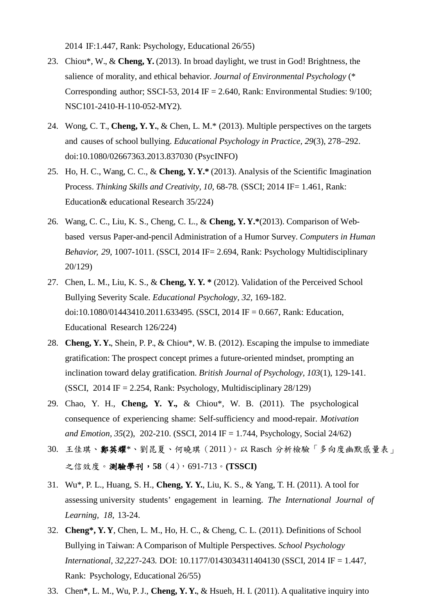2014 IF:1.447, Rank: Psychology, Educational 26/55)

- 23. Chiou\*, W., & **Cheng, Y.** (2013). In broad daylight, we trust in God! Brightness, the salience of morality, and ethical behavior. *Journal of Environmental Psychology* (\* Corresponding author; SSCI-53, 2014 IF = 2.640, Rank: Environmental Studies: 9/100; NSC101-2410-H-110-052-MY2).
- 24. Wong, C. T., **Cheng, Y. Y.**, & Chen, L. M.\* (2013). Multiple perspectives on the targets and causes of school bullying. *Educational Psychology in Practice, 29*(3), 278–292. doi:10.1080/02667363.2013.837030 (PsycINFO)
- 25. Ho, H. C., Wang, C. C., & **Cheng, Y. Y.\*** (2013). Analysis of the Scientific Imagination Process. *Thinking Skills and Creativity, 10,* 68-78*.* (SSCI; 2014 IF= 1.461, Rank: Education& educational Research 35/224)
- 26. Wang, C. C., Liu, K. S., Cheng, C. L., & **Cheng, Y. Y.\***(2013). Comparison of Webbased versus Paper-and-pencil Administration of a Humor Survey. *Computers in Human Behavior, 29*, 1007-1011. (SSCI, 2014 IF= 2.694, Rank: Psychology Multidisciplinary 20/129)
- 27. Chen, L. M., Liu, K. S., & **Cheng, Y. Y. \*** (2012). Validation of the Perceived School Bullying Severity Scale. *Educational Psychology, 32,* 169-182. doi:10.1080/01443410.2011.633495. (SSCI, 2014 IF = 0.667, Rank: Education, Educational Research 126/224)
- 28. **Cheng, Y. Y.**, Shein, P. P., & Chiou\*, W. B. (2012). Escaping the impulse to immediate gratification: The prospect concept primes a future-oriented mindset, prompting an inclination toward delay gratification. *British Journal of Psychology, 103*(1), 129-141. (SSCI, 2014 IF = 2.254, Rank: Psychology, Multidisciplinary  $28/129$ )
- 29. Chao, Y. H., **Cheng, Y. Y.,** & Chiou\*, W. B. (2011). The psychological consequence of experiencing shame: Self-sufficiency and mood-repair. *Motivation and Emotion, 35*(2), 202-210. (SSCI, 2014 IF = 1.744, Psychology, Social 24/62)
- 30. 王佳琪、鄭英耀\*、劉昆夏、何曉琪(2011)。以 Rasch 分析檢驗「多向度幽默感量表」 之信效度。測驗學刊,**58**(4),691-713。**(TSSCI)**
- 31. Wu\*, P. L., Huang, S. H., **Cheng, Y. Y.**, Liu, K. S., & Yang, T. H. (2011). A tool for assessing university students' engagement in learning. *The International Journal of Learning, 18*, 13-24.
- 32. **Cheng\*, Y. Y**, Chen, L. M., Ho, H. C., & Cheng, C. L. (2011). Definitions of School Bullying in Taiwan: A Comparison of Multiple Perspectives. *School Psychology International, 32*,227-243*.* DOI: 10.1177/0143034311404130 (SSCI, 2014 IF = 1.447, Rank: Psychology, Educational 26/55)
- 33. Chen**\***, L. M., Wu, P.J., **Cheng, Y. Y.**, & Hsueh, H. I. (2011). A qualitative inquiry into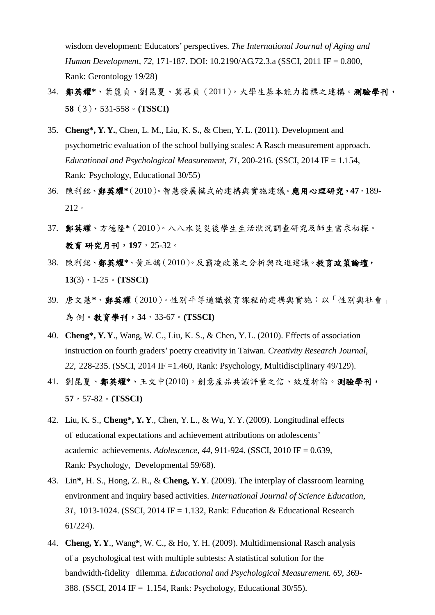wisdom development: Educators' perspectives. *The International Journal of Aging and Human Development, 72,* 171-187. DOI: 10.2190/AG.72.3.a (SSCI, 2011 IF = 0.800, Rank: Gerontology 19/28)

- 34. 鄭英耀**\***、葉麗貞、劉昆夏、莫慕貞(2011)。大學生基本能力指標之建構。測驗學刊, **58**(3),531-558。**(TSSCI)**
- 35. **Cheng\*, Y. Y.**, Chen, L. M., Liu, K. S**.**, & Chen, Y. L. (2011). Development and psychometric evaluation of the school bullying scales: A Rasch measurement approach. *Educational and Psychological Measurement*,  $71$ ,  $200-216$ . (SSCI,  $2014$  IF = 1.154, Rank: Psychology, Educational 30/55)
- 36. 陳利銘、鄭英耀**\***(2010)。智慧發展模式的建構與實施建議。應用心理研究,**47**,189- 212。
- 37. 鄭英耀、方德隆**\***(2010)。八八水災災後學生生活狀況調查研究及師生需求初探。 教育 研究月刊,**197**,25-32。
- 38. 陳利銘、鄭英耀**\***、黃正鵠(2010)。反霸凌政策之分析與改進建議。教育政策論壇, **13**(3),1-25。**(TSSCI)**
- 39. 唐文慧**\***、鄭英耀(2010)。性別平等通識教育課程的建構與實施:以「性別與社會」 為 例。教育學刊,**34**,33-67。**(TSSCI)**
- 40. **Cheng\*, Y. Y**., Wang, W. C., Liu, K. S., & Chen, Y. L. (2010). Effects of association instruction on fourth graders' poetry creativity in Taiwan. *Creativity Research Journal*, *22*, 228-235. (SSCI, 2014 IF =1.460, Rank: Psychology, Multidisciplinary 49/129).
- 41. 劉昆夏、鄭英耀**\***、王文中(2010)。創意產品共識評量之信、效度析論。測驗學刊, **57**,57-82。**(TSSCI)**
- 42. Liu, K. S., **Cheng\*, Y. Y**., Chen, Y. L., & Wu, Y. Y. (2009). Longitudinal effects of educational expectations and achievement attributions on adolescents' academic achievements. *Adolescence, 44,* 911-924. (SSCI, 2010 IF = 0.639, Rank: Psychology, Developmental 59/68).
- 43. Lin**\***, H. S., Hong, Z. R., & **Cheng, Y. Y**. (2009). The interplay of classroom learning environment and inquiry based activities. *International Journal of Science Education, 31,* 1013-1024. (SSCI, 2014 IF = 1.132, Rank: Education & Educational Research 61/224).
- 44. **Cheng, Y. Y**., Wang**\***, W. C., & Ho, Y. H. (2009). Multidimensional Rasch analysis of a psychological test with multiple subtests: A statistical solution for the bandwidth-fidelity dilemma. *Educational and Psychological Measurement. 69*, 369- 388. (SSCI, 2014 IF = 1.154, Rank: Psychology, Educational 30/55).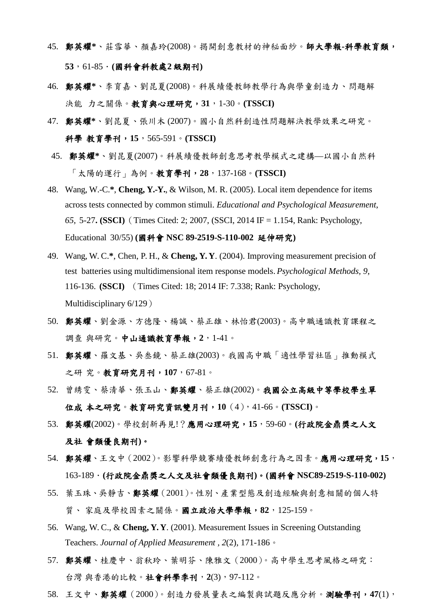- 45. 鄭英耀**\***、莊雪華、顏嘉玲(2008)。揭開創意教材的神秘面紗。師大學報**-**科學教育類, **53**,61-85.**(**國科會科教處**2** 級期刊**)**
- 46. 鄭英耀**\***、李育嘉、劉昆夏(2008)。科展績優教師教學行為與學童創造力、問題解 決能 力之關係。教育與心理研究,**31**,1-30。**(TSSCI)**
- 47. 鄭英耀**\***、劉昆夏、張川木 (2007)。國小自然科創造性問題解決教學效果之研究。 科學 教育學刊,**15**,565-591。**(TSSCI)**
- 45. 鄭英耀**\***、劉昆夏(2007)。科展績優教師創意思考教學模式之建構—以國小自然科 「太陽的運行」為例。教育學刊,**28**,137-168。**(TSSCI)**
- 48. Wang, W.-C.**\***, **Cheng, Y.-Y.**, & Wilson, M. R. (2005). Local item dependence for items across tests connected by common stimuli. *Educational and Psychological Measurement*, *65*, 5-27**. (SSCI)**(Times Cited: 2; 2007, (SSCI, 2014 IF = 1.154, Rank: Psychology, Educational 30/55) **(**國科會 **NSC 89-2519-S-110-002** 延伸研究**)**
- 49. Wang, W. C.**\***, Chen, P. H., & **Cheng, Y. Y**. (2004). Improving measurement precision of test batteries using multidimensional item response models. *Psychological Methods, 9*, 116-136. **(SSCI)** (Times Cited: 18; 2014 IF: 7.338; Rank: Psychology, Multidisciplinary 6/129)
- 50. 鄭英耀、劉金源、方德隆、楊誠、蔡正雄、林怡君(2003)。高中職通識教育課程之 調查 與研究。中山通識教育學報,**2**,1-41。
- 51. 鄭英耀、羅文基、吳叁鏡、蔡正雄(2003)。我國高中職「適性學習社區」推動模式 之研 究。教育研究月刊,**107**,67-81。
- 52. 曾綉雯、蔡清華、張玉山、鄭英耀、蔡正雄(2002)。我國公立高級中等學校學生單 位成 本之研究。教育研究資訊雙月刊,**10**(4),41-66。**(TSSCI)**。
- 53. 鄭英耀(2002)。學校創新再見!?應用心理研究,**15**,59-60。**(**行政院金鼎獎之人文 及社 會類優良期刊**)**。
- 54. 鄭英耀、王文中(2002)。影響科學競賽績優教師創意行為之因素。應用心理研究,**15**, 163-189.**(**行政院金鼎獎之人文及社會類優良期刊**)**。**(**國科會 **NSC89-2519-S-110-002)**
- 55. 葉玉珠、吳靜吉、鄭英耀(2001)。性別、產業型態及創造經驗與創意相關的個人特 質、 家庭及學校因素之關係。國立政治大學學報,**82**,125-159。
- 56. Wang, W. C., & **Cheng, Y. Y**. (2001). Measurement Issues in Screening Outstanding Teachers. *Journal of Applied Measurement , 2*(2), 171-186。
- 57. 鄭英耀、桂慶中、翁秋玲、葉明芬、陳雅文(2000)。高中學生思考風格之研究: 台灣 與香港的比較。社會科學季刊,**2**(3),97-112。
- 58. 王文中、鄭英耀(2000)。創造力發展量表之編製與試題反應分析。測驗學刊,**47**(1),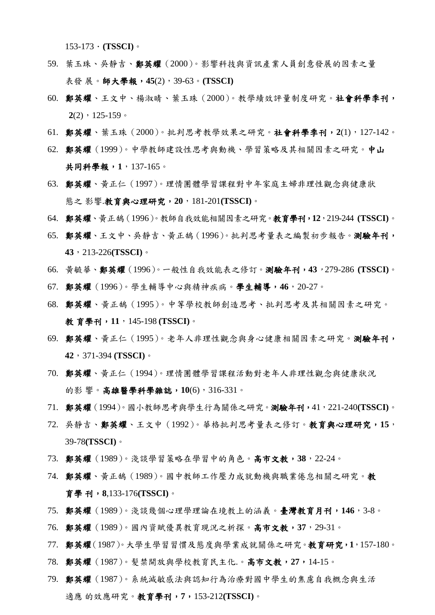$153-173$   $\cdot$  (**TSSCI**)  $\circ$ 

- 59. 葉玉珠、吳靜吉、鄭英耀(2000)。影響科技與資訊產業人員創意發展的因素之量 表發 展。師大學報,**45**(2),39-63。**(TSSCI)**
- 60. 鄭英耀、王文中、楊淑晴、葉玉珠(2000)。教學績效評量制度研究。社會科學季刊,  $2(2)$ , 125-159。
- 61. 鄭英耀、葉玉珠(2000)。批判思考教學效果之研究。社會科學季刊,**2**(1),127-142。
- 62. 鄭英耀(1999)。中學教師建設性思考與動機、學習策略及其相關因素之研究。中山 共同科學報,**1**,137-165。
- 63. 鄭英耀、黃正仁(1997)。理情團體學習課程對中年家庭主婦非理性觀念與健康狀 態之 影響.教育與心理研究,**20**,181-201**(TSSCI)**。
- 64. 鄭英耀、黃正鵠(1996)。教師自我效能相關因素之研究。教育學刊,**12**,219-244 **(TSSCI)**。
- 65. 鄭英耀、王文中、吳靜吉、黃正鵠(1996)。批判思考量表之編製初步報告。測驗年刊, **43**,213-226**(TSSCI)**。
- 66. 黃毓華、鄭英耀(1996)。一般性自我效能表之修訂。測驗年刊,**43**,279-286 **(TSSCI)**。
- 67. 鄭英耀(1996)。學生輔導中心與精神疾病。學生輔導,**46**,20-27。
- 68. 鄭英耀、黃正鵠(1995)。中等學校教師創造思考、批判思考及其相關因素之研究。 教 育學刊,**11**,145-198 **(TSSCI)**。
- 69. 鄭英耀、黃正仁(1995)。老年人非理性觀念與身心健康相關因素之研究。測驗年刊, **42**,371-394 **(TSSCI)**。
- 70. 鄭英耀、黃正仁(1994)。理情團體學習課程活動對老年人非理性觀念與健康狀況 的影 響。高雄醫學科學雜誌,**10**(6),316-331。
- 71. 鄭英耀(1994)。國小教師思考與學生行為關係之研究。測驗年刊,41,221-240**(TSSCI)**。
- 72. 吳靜吉、鄭英耀、王文中(1992)。華格批判思考量表之修訂。教育與心理研究,**15**, 39-78**(TSSCI)**。
- 73. 鄭英耀(1989)。淺談學習策略在學習中的角色。高市文教,**38**,22-24。
- 74. 鄭英耀、黃正鵠(1989)。國中教師工作壓力成就動機與職業倦怠相關之研究。教 育學 刊,**8**,133-176**(TSSCI)**。
- 75. 鄭英耀(1989)。淺談幾個心理學理論在境教上的涵義。臺灣教育月刊,**146**,3-8。
- 76. 鄭英耀(1989)。國內資賦優異教育現況之析探。高市文教,**37**,29-31。
- 77. 鄭英耀(1987)。大學生學習習慣及態度與學業成就關係之研究。教育研究,**1**,157-180。
- 78. 鄭英耀(1987)。髮禁開放與學校教育民主化.。高市文教,**27**,14-15。
- 79. 鄭英耀(1987)。系統減敏感法與認知行為治療對國中學生的焦慮自我概念與生活 適應 的效應研究。教育學刊,**7**,153-212**(TSSCI)**。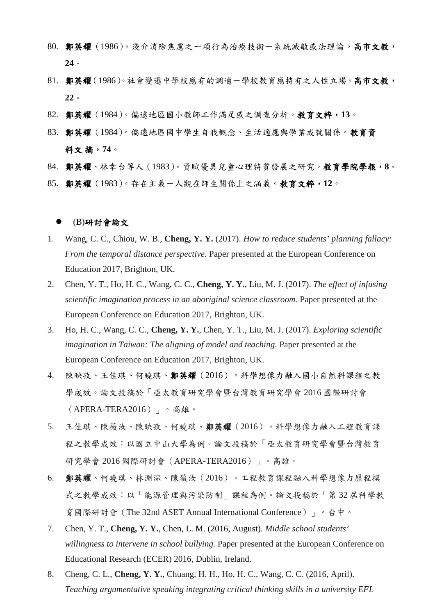- 80. 鄭英耀(1986)。淺介消除焦慮之一項行為治療技術-系統減敏感法理論。高市文教, **24**.
- 81. 鄭英耀(1986)。社會變遷中學校應有的調適-學校教育應持有之人性立場。高市文教, **22**。
- 82. 鄭英耀(1984)。偏遠地區國小教師工作滿足感之調查分析。教育文粹,**13**。
- 83. 鄭英耀(1984)。偏遠地區國中學生自我概念、生活適應與學業成就關係。教育資 料文 摘,**74**。
- 84. 鄭英耀、林幸台等人(1983)。資賦優異兒童心理特質發展之研究。教育學院學報,**8**。
- 85. 鄭英耀 (1983)。存在主義一人觀在師生關係上之涵義。教育文粹,12。

#### (B)研討會論文

- 1. Wang, C. C., Chiou, W. B., **Cheng, Y. Y.** (2017). *How to reduce students' planning fallacy: From the temporal distance perspective.* Paper presented at the European Conference on Education 2017, Brighton, UK.
- 2. Chen, Y. T., Ho, H. C., Wang, C. C., **Cheng, Y. Y.**, Liu, M. J. (2017). *The effect of infusing scientific imagination process in an aboriginal science classroom.* Paper presented at the European Conference on Education 2017, Brighton, UK.
- 3. Ho, H. C., Wang, C. C., **Cheng, Y. Y.**, Chen, Y. T., Liu, M. J. (2017). *Exploring scientific imagination in Taiwan: The aligning of model and teaching.* Paper presented at the European Conference on Education 2017, Brighton, UK.
- 4. 陳映孜、王佳琪、何曉琪、鄭英耀(2016)。科學想像力融入國小自然科課程之教 學成效。論文投稿於「亞太教育研究學會暨台灣教育研究學會 2016 國際研討會 (APERA-TERA2016)」。高雄。
- 5. 王佳琪、陳薇汝、陳映孜、何曉琪、鄭英耀(2016)。科學想像力融入工程教育課 程之教學成效:以國立中山大學為例。論文投稿於「亞太教育研究學會暨台灣教育 研究學會 2016 國際研討會(APERA-TERA2016)」。高雄。
- 6. 鄭英耀、何曉琪、林淵淙、陳薇汝(2016)。工程教育課程融入科學想像力歷程模 式之教學成效:以「能源管理與污染防制」課程為例。論文投稿於「第 32 屆科學教 育國際研討會(The 32nd ASET Annual International Conference)」。台中。
- 7. Chen, Y. T., **Cheng, Y. Y.**, Chen, L. M. (2016, August). *Middle school students' willingness to intervene in school bullying.* Paper presented at the European Conference on Educational Research (ECER) 2016, Dublin, Ireland.
- 8. Cheng, C. L., **Cheng, Y. Y.**, Chuang, H. H., Ho, H. C., Wang, C. C. (2016, April). *Teaching argumentative speaking integrating critical thinking skills in a university EFL*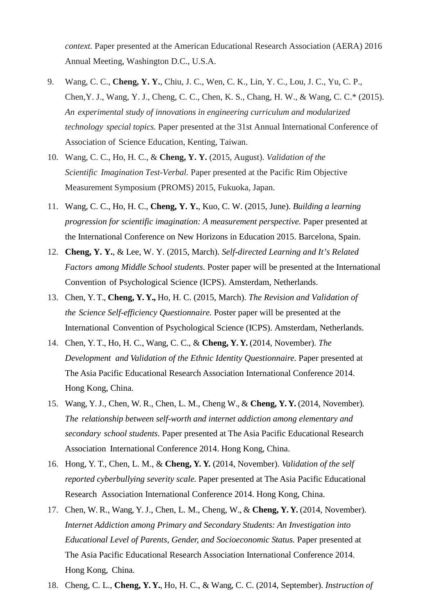*context.* Paper presented at the American Educational Research Association (AERA) 2016 Annual Meeting, Washington D.C., U.S.A.

- 9. Wang, C. C., **Cheng, Y. Y.**, Chiu, J. C., Wen, C. K., Lin, Y. C., Lou, J. C., Yu, C. P., Chen,Y. J., Wang, Y. J., Cheng, C. C., Chen, K. S., Chang, H. W., & Wang, C. C.\* (2015). *An experimental study of innovations in engineering curriculum and modularized technology special topics.* Paper presented at the 31st Annual International Conference of Association of Science Education, Kenting, Taiwan.
- 10. Wang, C. C., Ho, H. C., & **Cheng, Y. Y.** (2015, August). *Validation of the Scientific Imagination Test-Verbal.* Paper presented at the Pacific Rim Objective Measurement Symposium (PROMS) 2015, Fukuoka, Japan.
- 11. Wang, C. C., Ho, H. C., **Cheng, Y. Y.**, Kuo, C. W. (2015, June). *Building a learning progression for scientific imagination: A measurement perspective.* Paper presented at the International Conference on New Horizons in Education 2015. Barcelona, Spain.
- 12. **Cheng, Y. Y.**, & Lee, W. Y. (2015, March). *Self-directed Learning and It's Related Factors among Middle School students.* Poster paper will be presented at the International Convention of Psychological Science (ICPS). Amsterdam, Netherlands.
- 13. Chen, Y. T., **Cheng, Y. Y.,** Ho, H. C. (2015, March). *The Revision and Validation of the Science Self-efficiency Questionnaire.* Poster paper will be presented at the International Convention of Psychological Science (ICPS). Amsterdam, Netherlands.
- 14. Chen, Y. T., Ho, H. C., Wang, C. C., & **Cheng, Y. Y.** (2014, November). *The Development and Validation of the Ethnic Identity Questionnaire.* Paper presented at The Asia Pacific Educational Research Association International Conference 2014. Hong Kong, China.
- 15. Wang, Y.J., Chen, W. R., Chen, L. M., Cheng W., & **Cheng, Y. Y.** (2014, November). *The relationship between self-worth and internet addiction among elementary and secondary school students.* Paper presented at The Asia Pacific Educational Research Association International Conference 2014. Hong Kong, China.
- 16. Hong, Y. T., Chen, L. M., & **Cheng, Y. Y.** (2014, November). *Validation of the self reported cyberbullying severity scale.* Paper presented at The Asia Pacific Educational Research Association International Conference 2014. Hong Kong, China.
- 17. Chen, W. R., Wang, Y.J., Chen, L. M., Cheng, W., & **Cheng, Y. Y.** (2014, November). *Internet Addiction among Primary and Secondary Students: An Investigation into Educational Level of Parents, Gender, and Socioeconomic Status.* Paper presented at The Asia Pacific Educational Research Association International Conference 2014. Hong Kong, China.
- 18. Cheng, C. L., **Cheng, Y. Y.**, Ho, H. C., & Wang, C. C. (2014, September). *Instruction of*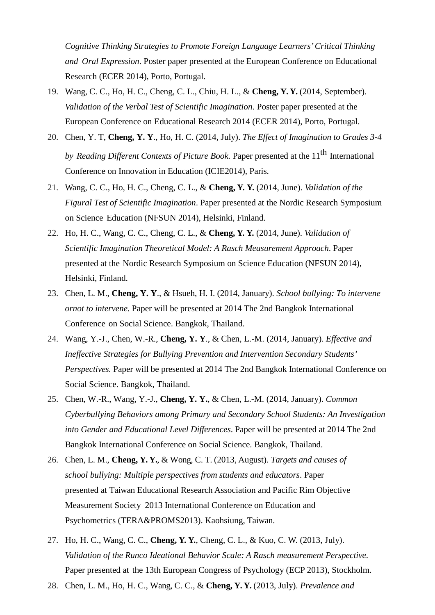*Cognitive Thinking Strategies to Promote Foreign Language Learners'Critical Thinking and Oral Expression*. Poster paper presented at the European Conference on Educational Research (ECER 2014), Porto, Portugal.

- 19. Wang, C. C., Ho, H. C., Cheng, C. L., Chiu, H. L., & **Cheng, Y. Y.** (2014, September). *Validation of the Verbal Test of Scientific Imagination*. Poster paper presented at the European Conference on Educational Research 2014 (ECER 2014), Porto, Portugal.
- 20. Chen, Y. T, **Cheng, Y. Y**., Ho, H. C. (2014, July). *The Effect of Imagination to Grades 3-4 by Reading Different Contexts of Picture Book.* Paper presented at the 11<sup>th</sup> International Conference on Innovation in Education (ICIE2014), Paris.
- 21. Wang, C. C., Ho, H. C., Cheng, C. L., & **Cheng, Y. Y.** (2014, June). *Validation of the Figural Test of Scientific Imagination*. Paper presented at the Nordic Research Symposium on Science Education (NFSUN 2014), Helsinki, Finland.
- 22. Ho, H. C., Wang, C. C., Cheng, C. L., & **Cheng, Y. Y.** (2014, June). *Validation of Scientific Imagination Theoretical Model: A Rasch Measurement Approach*. Paper presented at the Nordic Research Symposium on Science Education (NFSUN 2014), Helsinki, Finland.
- 23. Chen, L. M., **Cheng, Y. Y**., & Hsueh, H. I. (2014, January). *School bullying: To intervene ornot to intervene*. Paper will be presented at 2014 The 2nd Bangkok International Conference on Social Science. Bangkok, Thailand.
- 24. Wang, Y.-J., Chen, W.-R., **Cheng, Y. Y**., & Chen, L.-M. (2014, January). *Effective and Ineffective Strategies for Bullying Prevention and Intervention Secondary Students' Perspectives.* Paper will be presented at 2014 The 2nd Bangkok International Conference on Social Science. Bangkok, Thailand.
- 25. Chen, W.-R., Wang, Y.-J., **Cheng, Y. Y.**, & Chen, L.-M. (2014, January). *Common Cyberbullying Behaviors among Primary and Secondary School Students: An Investigation into Gender and Educational Level Differences*. Paper will be presented at 2014 The 2nd Bangkok International Conference on Social Science. Bangkok, Thailand.
- 26. Chen, L. M., **Cheng, Y. Y.**, & Wong, C. T. (2013, August). *Targets and causes of school bullying: Multiple perspectives from students and educators*. Paper presented at Taiwan Educational Research Association and Pacific Rim Objective Measurement Society 2013 International Conference on Education and Psychometrics (TERA&PROMS2013). Kaohsiung, Taiwan.
- 27. Ho, H. C., Wang, C. C., **Cheng, Y. Y.**, Cheng, C. L., & Kuo, C. W. (2013, July). *Validation of the Runco Ideational Behavior Scale: A Rasch measurement Perspective*. Paper presented at the 13th European Congress of Psychology (ECP 2013), Stockholm.
- 28. Chen, L. M., Ho, H. C., Wang, C. C., & **Cheng, Y. Y.** (2013, July). *Prevalence and*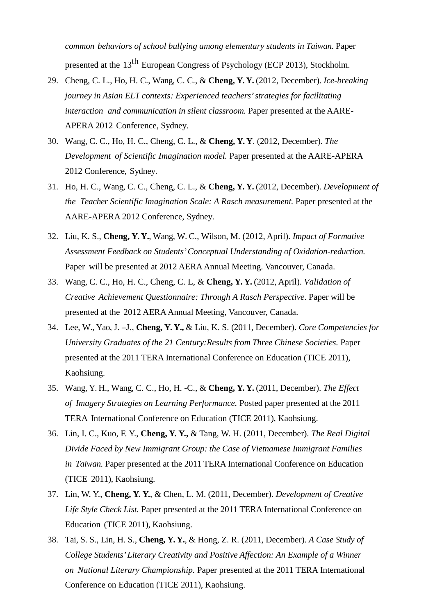*common behaviors of school bullying among elementary students in Taiwan*. Paper presented at the 13<sup>th</sup> European Congress of Psychology (ECP 2013), Stockholm.

- 29. Cheng, C. L., Ho, H. C., Wang, C. C., & **Cheng, Y. Y.** (2012, December). *Ice-breaking journey in Asian ELT contexts: Experienced teachers'strategies for facilitating interaction and communication in silent classroom.* Paper presented at the AARE-APERA 2012 Conference, Sydney.
- 30. Wang, C. C., Ho, H. C., Cheng, C. L., & **Cheng, Y. Y**. (2012, December). *The Development of Scientific Imagination model.* Paper presented at the AARE-APERA 2012 Conference, Sydney.
- 31. Ho, H. C., Wang, C. C., Cheng, C. L., & **Cheng, Y. Y.** (2012, December). *Development of the Teacher Scientific Imagination Scale: A Rasch measurement.* Paper presented at the AARE-APERA 2012 Conference, Sydney.
- 32. Liu, K. S., **Cheng, Y. Y.**, Wang, W. C., Wilson, M. (2012, April). *Impact of Formative Assessment Feedback on Students'Conceptual Understanding of Oxidation-reduction.* Paper will be presented at 2012 AERA Annual Meeting. Vancouver, Canada.
- 33. Wang, C. C., Ho, H. C., Cheng, C. L, & **Cheng, Y. Y.** (2012, April). *Validation of Creative Achievement Questionnaire: Through A Rasch Perspective*. Paper will be presented at the 2012 AERA Annual Meeting, Vancouver, Canada.
- 34. Lee, W., Yao, J. –J., **Cheng, Y. Y.,** & Liu, K. S. (2011, December). *Core Competencies for University Graduates of the 21 Century:Results from Three Chinese Societies.* Paper presented at the 2011 TERA International Conference on Education (TICE 2011), Kaohsiung.
- 35. Wang, Y. H., Wang, C. C., Ho, H. -C., & **Cheng, Y. Y.** (2011, December). *The Effect of Imagery Strategies on Learning Performance.* Posted paper presented at the 2011 TERA International Conference on Education (TICE 2011), Kaohsiung.
- 36. Lin, I. C., Kuo, F. Y., **Cheng, Y. Y.,** & Tang, W. H. (2011, December). *The Real Digital Divide Faced by New Immigrant Group: the Case of Vietnamese Immigrant Families in Taiwan.* Paper presented at the 2011 TERA International Conference on Education (TICE 2011), Kaohsiung.
- 37. Lin, W. Y., **Cheng, Y. Y.**, & Chen, L. M. (2011, December). *Development of Creative Life Style Check List.* Paper presented at the 2011 TERA International Conference on Education (TICE 2011), Kaohsiung.
- 38. Tai, S. S., Lin, H. S., **Cheng, Y. Y.**, & Hong, Z. R. (2011, December). *A Case Study of College Students'Literary Creativity and Positive Affection: An Example of a Winner on National Literary Championship.* Paper presented at the 2011 TERA International Conference on Education (TICE 2011), Kaohsiung.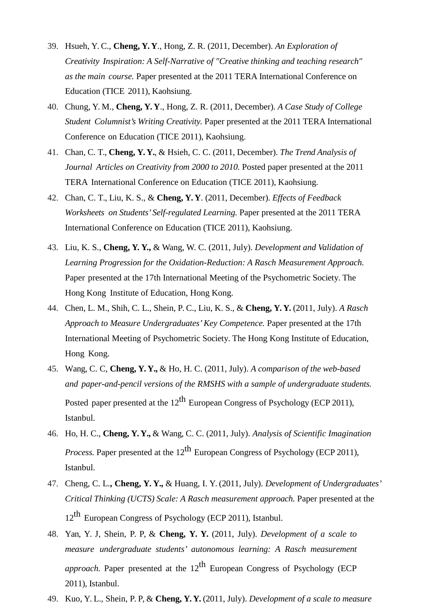- 39. Hsueh, Y. C., **Cheng, Y. Y**., Hong, Z. R. (2011, December). *An Exploration of Creativity Inspiration: A Self-Narrative of "Creative thinking and teaching research" as the main course.* Paper presented at the 2011 TERA International Conference on Education (TICE 2011), Kaohsiung.
- 40. Chung, Y. M., **Cheng, Y. Y**., Hong, Z. R. (2011, December). *A Case Study of College Student Columnist's Writing Creativity.* Paper presented at the 2011 TERA International Conference on Education (TICE 2011), Kaohsiung.
- 41. Chan, C. T., **Cheng, Y. Y.**, & Hsieh, C. C. (2011, December). *The Trend Analysis of Journal Articles on Creativity from 2000 to 2010.* Posted paper presented at the 2011 TERA International Conference on Education (TICE 2011), Kaohsiung.
- 42. Chan, C. T., Liu, K. S., & **Cheng, Y. Y**. (2011, December). *Effects of Feedback Worksheets on Students' Self-regulated Learning.* Paper presented at the 2011 TERA International Conference on Education (TICE 2011), Kaohsiung.
- 43. Liu, K. S., **Cheng, Y. Y.,** & Wang, W. C. (2011, July). *Development and Validation of Learning Progression for the Oxidation-Reduction: A Rasch Measurement Approach.*  Paper presented at the 17th International Meeting of the Psychometric Society. The Hong Kong Institute of Education, Hong Kong.
- 44. Chen, L. M., Shih, C. L., Shein, P. C., Liu, K. S., & **Cheng, Y. Y.** (2011, July). *A Rasch Approach to Measure Undergraduates'Key Competence.* Paper presented at the 17th International Meeting of Psychometric Society. The Hong Kong Institute of Education, Hong Kong.
- 45. Wang, C. C, **Cheng, Y. Y.,** & Ho, H. C. (2011, July). *A comparison of the web-based and paper-and-pencil versions of the RMSHS with a sample of undergraduate students.*  Posted paper presented at the  $12^{th}$  European Congress of Psychology (ECP 2011), Istanbul.
- 46. Ho, H. C., **Cheng, Y. Y.,** & Wang, C. C. (2011, July). *Analysis of Scientific Imagination Process.* Paper presented at the  $12^{th}$  European Congress of Psychology (ECP 2011), Istanbul.
- 47. Cheng, C. L.**, Cheng, Y. Y.,** & Huang, I. Y. (2011, July). *Development of Undergraduates' Critical Thinking (UCTS) Scale: A Rasch measurement approach.* Paper presented at the 12<sup>th</sup> European Congress of Psychology (ECP 2011), Istanbul.
- 48. Yan, Y. J, Shein, P. P, & **Cheng, Y. Y.** (2011, July). *Development of a scale to measure undergraduate students' autonomous learning: A Rasch measurement approach.* Paper presented at the  $12^{th}$  European Congress of Psychology (ECP) 2011), Istanbul.
- 49. Kuo, Y. L., Shein, P. P, & **Cheng, Y. Y.** (2011, July). *Development of a scale to measure*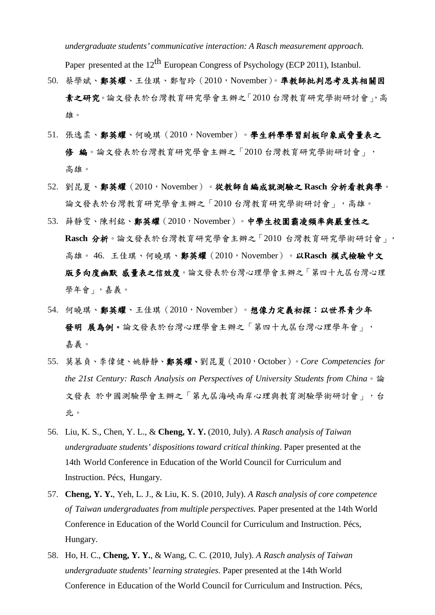*undergraduate students' communicative interaction: A Rasch measurement approach.*

Paper presented at the 12<sup>th</sup> European Congress of Psychology (ECP 2011), Istanbul.

- 50. 蔡學斌、鄭英耀、王佳琪、鄭智玲(2010,November)。準教師批判思考及其相關因 素之研究。論文發表於台灣教育研究學會主辦之「2010 台灣教育研究學術研討會」,高 雄。
- 51. 張逸柔、鄭英耀、何曉琪 (2010, November)。學生科學學習刻板印象威脅量表之 修 編。論文發表於台灣教育研究學會主辦之「2010 台灣教育研究學術研討會」, 高雄。
- 52. 劉昆夏、鄭英耀 (2010, November)。從教師自編成就測驗之 Rasch 分析看教與學。 論文發表於台灣教育研究學會主辦之「2010 台灣教育研究學術研討會」,高雄。
- 53. 薛靜雯、陳利銘、鄭英耀(2010,November)。中學生校園霸凌頻率與嚴重性之 **Rasch** 分析。論文發表於台灣教育研究學會主辦之「2010 台灣教育研究學術研討會」, 高雄。 46. 王佳琪、何曉琪、鄭英耀(2010,November)。以**Rasch** 模式檢驗中文 版多向度幽默 感量表之信效度。論文發表於台灣心理學會主辦之「第四十九屆台灣心理 學年會」,嘉義。
- 54. 何曉琪、鄭英耀、王佳琪(2010,November)。想像力定義初探:以世界青少年 發明 展為例。論文發表於台灣心理學會主辦之「第四十九屆台灣心理學年會」, 嘉義。
- 55. 莫慕貞、李偉健、姚靜靜、鄭英耀、劉昆夏(2010,October)。*Core Competencies for the 21st Century: Rasch Analysis on Perspectives of University Students from China*。論 文發表 於中國測驗學會主辦之「第九屆海峽兩岸心理與教育測驗學術研討會」,台 北。
- 56. Liu, K. S., Chen, Y. L., & **Cheng, Y. Y.** (2010, July). *A Rasch analysis of Taiwan undergraduate students' dispositions toward critical thinking*. Paper presented at the 14th World Conference in Education of the World Council for Curriculum and Instruction. Pécs, Hungary.
- 57. **Cheng, Y. Y.**, Yeh, L. J., & Liu, K. S. (2010, July). *A Rasch analysis of core competence of Taiwan undergraduates from multiple perspectives.* Paper presented at the 14th World Conference in Education of the World Council for Curriculum and Instruction. Pécs, Hungary.
- 58. Ho, H. C., **Cheng, Y. Y.**, & Wang, C. C. (2010, July). *A Rasch analysis of Taiwan undergraduate students' learning strategies*. Paper presented at the 14th World Conference in Education of the World Council for Curriculum and Instruction. Pécs,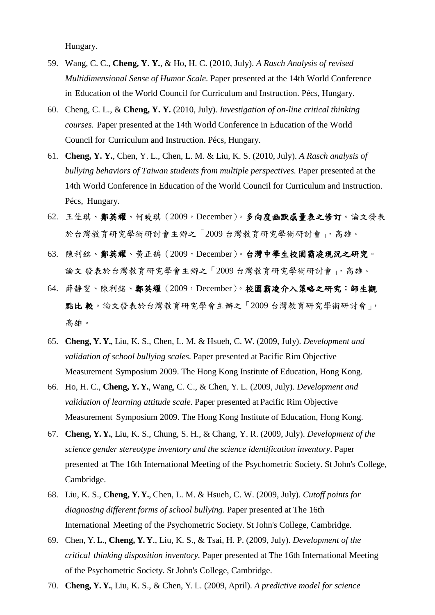Hungary.

- 59. Wang, C. C., **Cheng, Y. Y.**, & Ho, H. C. (2010, July). *A Rasch Analysis of revised Multidimensional Sense of Humor Scale*. Paper presented at the 14th World Conference in Education of the World Council for Curriculum and Instruction. Pécs, Hungary.
- 60. Cheng, C. L., & **Cheng, Y. Y.** (2010, July). *Investigation of on-line critical thinking courses.* Paper presented at the 14th World Conference in Education of the World Council for Curriculum and Instruction. Pécs, Hungary.
- 61. **Cheng, Y. Y.**, Chen, Y. L., Chen, L. M. & Liu, K. S. (2010, July). *A Rasch analysis of bullying behaviors of Taiwan students from multiple perspectives.* Paper presented at the 14th World Conference in Education of the World Council for Curriculum and Instruction. Pécs, Hungary.
- 62. 王佳琪、鄭英耀、何曉琪 (2009, December)。多向度幽默感量表之修訂。論文發表 於台灣教育研究學術研討會主辦之「2009 台灣教育研究學術研討會」,高雄。
- 63. 陳利銘、鄭英耀、黃正鵠(2009,December)。台灣中學生校園霸凌現況之研究。 論文 發表於台灣教育研究學會主辦之「2009 台灣教育研究學術研討會」,高雄。
- 64. 薛靜雯、陳利銘、鄭英耀 (2009, December)。校園霸凌介入策略之研究:師生觀 點比 較。論文發表於台灣教育研究學會主辦之「2009 台灣教育研究學術研討會」, 高雄。
- 65. **Cheng, Y. Y.**, Liu, K. S., Chen, L. M. & Hsueh, C. W. (2009, July). *Development and validation of school bullying scales*. Paper presented at Pacific Rim Objective Measurement Symposium 2009. The Hong Kong Institute of Education, Hong Kong.
- 66. Ho, H. C., **Cheng, Y. Y.**, Wang, C. C., & Chen, Y. L. (2009, July). *Development and validation of learning attitude scale*. Paper presented at Pacific Rim Objective Measurement Symposium 2009. The Hong Kong Institute of Education, Hong Kong.
- 67. **Cheng, Y. Y.**, Liu, K. S., Chung, S. H., & Chang, Y. R. (2009, July). *Development of the science gender stereotype inventory and the science identification inventory*. Paper presented at The 16th International Meeting of the Psychometric Society. St John's College, Cambridge.
- 68. Liu, K. S., **Cheng, Y. Y.**, Chen, L. M. & Hsueh, C. W. (2009, July). *Cutoff points for diagnosing different forms of school bullying*. Paper presented at The 16th International Meeting of the Psychometric Society. St John's College, Cambridge.
- 69. Chen, Y. L., **Cheng, Y. Y**., Liu, K. S., & Tsai, H. P. (2009, July). *Development of the critical thinking disposition inventory.* Paper presented at The 16th International Meeting of the Psychometric Society. St John's College, Cambridge.
- 70. **Cheng, Y. Y.**, Liu, K. S., & Chen, Y. L. (2009, April). *A predictive model for science*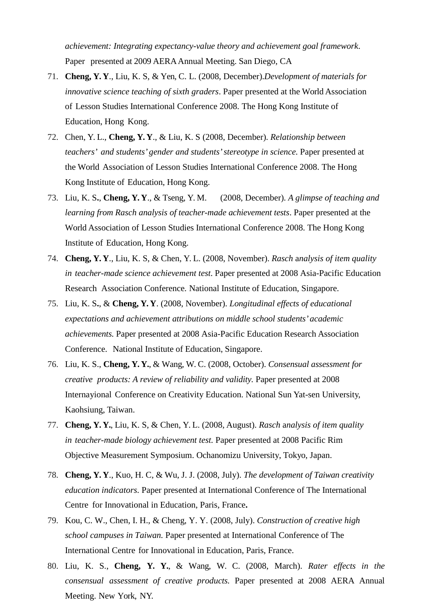*achievement: Integrating expectancy-value theory and achievement goal framework*. Paper presented at 2009 AERAAnnual Meeting. San Diego, CA

- 71. **Cheng, Y. Y**., Liu, K. S, & Yen, C. L. (2008, December).*Development of materials for innovative science teaching of sixth graders*. Paper presented at the World Association of Lesson Studies International Conference 2008. The Hong Kong Institute of Education, Hong Kong.
- 72. Chen, Y. L., **Cheng, Y. Y**., & Liu, K. S (2008, December). *Relationship between teachers' and students' gender and students'stereotype in science*. Paper presented at the World Association of Lesson Studies International Conference 2008. The Hong Kong Institute of Education, Hong Kong.
- 73. Liu, K. S**.**, **Cheng, Y. Y**., & Tseng, Y. M. (2008, December). *A glimpse of teaching and learning from Rasch analysis of teacher-made achievement tests*. Paper presented at the World Association of Lesson Studies International Conference 2008. The Hong Kong Institute of Education, Hong Kong.
- 74. **Cheng, Y. Y**., Liu, K. S, & Chen, Y. L. (2008, November). *Rasch* a*nalysis of item quality in teacher-made science achievement test*. Paper presented at 2008 Asia-Pacific Education Research Association Conference. National Institute of Education, Singapore.
- 75. Liu, K. S**.**, & **Cheng, Y. Y**. (2008, November). *Longitudinal effects of educational expectations and achievement attributions on middle school students' academic achievements.* Paper presented at 2008 Asia-Pacific Education Research Association Conference. National Institute of Education, Singapore.
- 76. Liu, K. S., **Cheng, Y. Y.**, & Wang, W. C. (2008, October). *Consensual assessment for creative products: A review of reliability and validity.* Paper presented at 2008 Internayional Conference on Creativity Education. National Sun Yat-sen University, Kaohsiung, Taiwan.
- 77. **Cheng, Y. Y.**, Liu, K. S, & Chen, Y. L. (2008, August). *Rasch* a*nalysis of item quality in teacher-made biology achievement test.* Paper presented at 2008 Pacific Rim Objective Measurement Symposium. Ochanomizu University, Tokyo, Japan.
- 78. **Cheng, Y. Y**., Kuo, H. C, & Wu, J. J. (2008, July). *The development of Taiwan creativity education indicators.* Paper presented at International Conference of The International Centre for Innovational in Education, Paris, France**.**
- 79. Kou, C. W., Chen, I. H., & Cheng, Y. Y. (2008, July). *Construction of creative high school campuses in Taiwan.* Paper presented at International Conference of The International Centre for Innovational in Education, Paris, France.
- 80. Liu, K. S., **Cheng, Y. Y.**, & Wang, W. C. (2008, March). *Rater effects in the consensual assessment of creative products.* Paper presented at 2008 AERA Annual Meeting. New York, NY.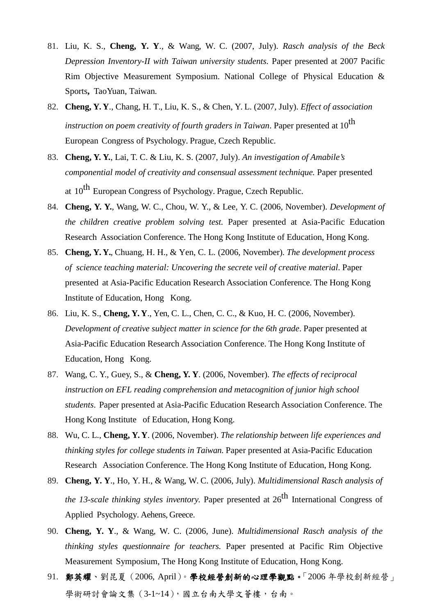- 81. Liu, K. S., **Cheng, Y. Y**., & Wang, W. C. (2007, July). *Rasch analysis of the Beck Depression Inventory-II with Taiwan university students.* Paper presented at 2007 Pacific Rim Objective Measurement Symposium. National College of Physical Education & Sports**,** TaoYuan, Taiwan.
- 82. **Cheng, Y. Y**., Chang, H. T., Liu, K. S., & Chen, Y. L. (2007, July). *Effect of association instruction on poem creativity of fourth graders in Taiwan*. Paper presented at 10th European Congress of Psychology. Prague, Czech Republic.
- 83. **Cheng, Y. Y.**, Lai, T. C. & Liu, K. S. (2007, July). *An investigation of Amabile's componential model of creativity and consensual assessment technique.* Paper presented at 10<sup>th</sup> European Congress of Psychology. Prague, Czech Republic.
- 84. **Cheng, Y. Y.**, Wang, W. C., Chou, W. Y., & Lee, Y. C. (2006, November). *Development of the children creative problem solving test.* Paper presented at Asia-Pacific Education Research Association Conference. The Hong Kong Institute of Education, Hong Kong.
- 85. **Cheng, Y. Y.**, Chuang, H. H., & Yen, C. L. (2006, November). *The development process of science teaching material: Uncovering the secrete veil of creative material*. Paper presented at Asia-Pacific Education Research Association Conference. The Hong Kong Institute of Education, Hong Kong.
- 86. Liu, K. S., **Cheng, Y. Y**., Yen, C. L., Chen, C. C., & Kuo, H. C. (2006, November). *Development of creative subject matter in science for the 6th grade*. Paper presented at Asia-Pacific Education Research Association Conference. The Hong Kong Institute of Education, Hong Kong.
- 87. Wang, C. Y., Guey, S., & **Cheng, Y. Y**. (2006, November). *The effects of reciprocal instruction on EFL reading comprehension and metacognition of junior high school students*. Paper presented at Asia-Pacific Education Research Association Conference. The Hong Kong Institute of Education, Hong Kong.
- 88. Wu, C. L., **Cheng, Y. Y**. (2006, November). *The relationship between life experiences and thinking styles for college students in Taiwan*. Paper presented at Asia-Pacific Education Research Association Conference. The Hong Kong Institute of Education, Hong Kong.
- 89. **Cheng, Y. Y**., Ho, Y. H., & Wang, W. C. (2006, July). *Multidimensional Rasch analysis of the* 13-scale *thinking styles inventory*. Paper presented at  $26<sup>th</sup>$  International Congress of Applied Psychology. Aehens, Greece.
- 90. **Cheng, Y. Y**., & Wang, W. C. (2006, June). *Multidimensional Rasch analysis of the thinking styles questionnaire for teachers.* Paper presented at Pacific Rim Objective Measurement Symposium, The Hong Kong Institute of Education, Hong Kong.
- 91. 鄭英耀、劉昆夏(2006, April)。學校經營創新的心理學觀點。「2006 年學校創新經營」 學術研討會論文集(3-1~14),國立台南大學文薈樓,台南。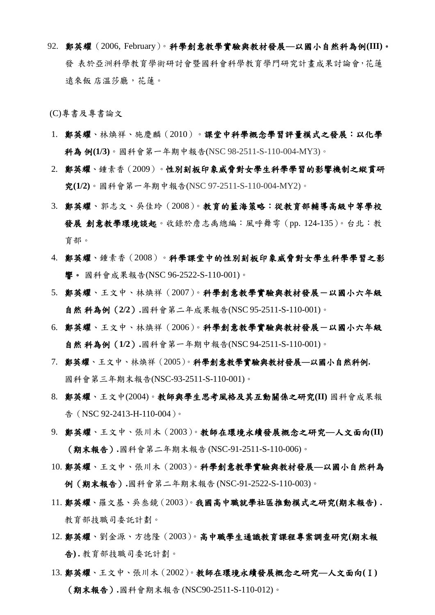92. 鄭英耀(2006, February)。科學創意教學實驗與教材發展**—**以國小自然科為例**(III)**。 發 表於亞洲科學教育學術研討會暨國科會科學教育學門研究計畫成果討論會,花蓮 遠來飯 店溫莎廳,花蓮。

(C)專書及專書論文

- 1. 鄭英耀、林煥祥、施慶麟(2010)。課堂中科學概念學習評量模式之發展:以化學 科為 例**(1/3)**。國科會第一年期中報告(NSC 98-2511-S-110-004-MY3)。
- 2. 鄭英耀、鍾素香(2009)。性別刻板印象威脅對女學生科學學習的影響機制之縱貫研 究**(1/2)**。國科會第一年期中報告(NSC 97-2511-S-110-004-MY2)。
- 3. 鄭英耀、郭志文、吳佳玲(2008)。教育的藍海策略:從教育部輔導高級中等學校 發展 創意教學環境談起。收錄於詹志禹總編:風呼舞雩(pp. 124-135)。台北:教 育部。
- 4. 鄭英耀、鍾素香(2008)。科學課堂中的性別刻板印象威脅對女學生科學學習之影 響。 國科會成果報告(NSC 96-2522-S-110-001)。
- 5. 鄭英耀、王文中、林煥祥(2007)。科學創意教學實驗與教材發展一以國小六年級 自然 科為例(**2/2**)**.**國科會第二年成果報告(NSC 95-2511-S-110-001)。
- 6. 鄭英耀、王文中、林煥祥 (2006)。科學創意教學實驗與教材發展一以國小六年級 自然 科為例(**1/2**)**.**國科會第一年期中報告(NSC 94-2511-S-110-001)。
- 7. 鄭英耀、王文中、林煥祥(2005)。科學創意教學實驗與教材發展**—**以國小自然科例**.** 國科會第三年期末報告(NSC-93-2511-S-110-001)。
- 8. 鄭英耀、王文中(2004)。教師與學生思考風格及其互動關係之研究**(II)** 國科會成果報 告(NSC 92-2413-H-110-004)。
- 9. 鄭英耀、王文中、張川木(2003)。教師在環境永續發展概念之研究**—**人文面向**(II)** (期末報告)*.*國科會第二年期末報告 (NSC-91-2511-S-110-006)。
- 10. 鄭英耀、王文中、張川木(2003)。科學創意教學實驗與教材發展**—**以國小自然科為 例(期末報告)**.**國科會第二年期末報告 (NSC-91-2522-S-110-003)。
- 11. 鄭英耀、羅文基、吳叁鏡(2003)。我國高中職就學社區推動模式之研究**(**期末報告**)** *.* 教育部技職司委託計劃。
- 12. 鄭英耀、劉金源、方德隆(2003)。高中職學生通識教育課程專案調查研究**(**期末報 告**) .** 教育部技職司委託計劃。
- 13. 鄭英耀、王文中、張川木(2002)。教師在環境永續發展概念之研究**—**人文面向**(**Ⅰ**)** (期末報告)*.*國科會期末報告 (NSC90-2511-S-110-012)。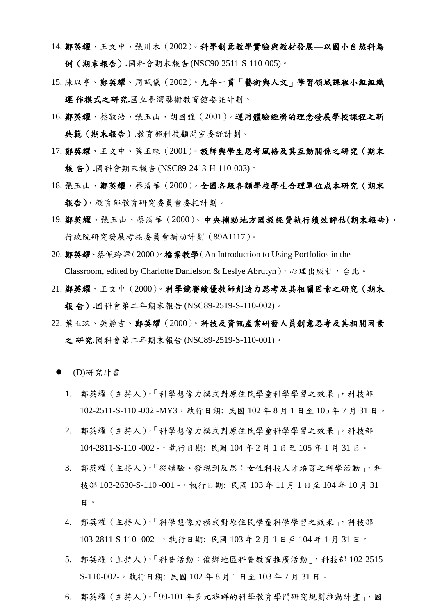- 14. 鄭英耀、王文中、張川木(2002)。科學創意教學實驗與教材發展**—**以國小自然科為 例(期末報告)*.*國科會期末報告 (NSC90-2511-S-110-005)。
- 15. 陳以亨、鄭英耀、周珮儀(2002)。九年一貫「藝術與人文」學習領域課程小組組織 運 作模式之研究**.**國立臺灣藝術教育館委託計劃。
- 16. 鄭英耀、蔡敦浩、張玉山、胡國強(2001)。運用體驗經濟的理念發展學校課程之新 典範(期末報告).教育部科技顧問室委託計劃。
- 17. 鄭英耀、王文中、葉玉珠(2001)。教師與學生思考風格及其互動關係之研究(期末 報 告)**.**國科會期末報告 (NSC89-2413-H-110-003)。
- 18. 張玉山、鄭英耀、蔡清華(2000)。全國各級各類學校學生合理單位成本研究(期末 報告),教育部教育研究委員會委托計劃。
- 19. 鄭英耀、張玉山、蔡清華(2000)。中央補助地方國教經費執行績效評估**(**期末報告**)**, 行政院研究發展考核委員會補助計劃(89A1117)。
- 20. 鄭英耀、蔡佩玲譯(2000)。檔案教學(An Introduction to Using Portfolios in the Classroom, edited by Charlotte Danielson & Leslye Abrutyn), 心理出版社, 台北。
- 21. 鄭英耀、王文中(2000)。科學競賽績優教師創造力思考及其相關因素之研究(期末 報 告)**.**國科會第二年期末報告 (NSC89-2519-S-110-002)。
- 22. 葉玉珠、吳靜吉、鄭英耀(2000)。科技及資訊產業研發人員創意思考及其相關因素 之 研究*.*國科會第二年期末報告 (NSC89-2519-S-110-001)。
- (D)研究計畫
	- 1. 鄭英耀(主持人),「科學想像力模式對原住民學童科學學習之效果」,科技部 102-2511-S-110 -002 -MY3,執行日期: 民國 102 年 8 月 1 日至 105 年 7 月 31 日。
	- 2. 鄭英耀(主持人),「科學想像力模式對原住民學童科學學習之效果」,科技部 104-2811-S-110 -002 -,執行日期: 民國 104 年 2 月 1 日至 105 年 1 月 31 日。
	- 3. 鄭英耀(主持人),「從體驗、發現到反思:女性科技人才培育之科學活動」,科 技部 103-2630-S-110 -001 -,執行日期: 民國 103 年 11 月 1 日至 104 年 10 月 31 日。
	- 4. 鄭英耀(主持人),「科學想像力模式對原住民學童科學學習之效果」,科技部 103-2811-S-110 -002 -,執行日期: 民國 103 年 2 月 1 日至 104 年 1 月 31 日。
	- 5. 鄭英耀 (主持人),「科普活動: 偏鄉地區科普教育推廣活動」,科技部 102-2515-S-110-002-,執行日期: 民國 102 年 8 月 1 日至 103 年 7 月 31 日。
	- 6. 鄭英耀(主持人),「99-101 年多元族群的科學教育學門研究規劃推動計畫」,國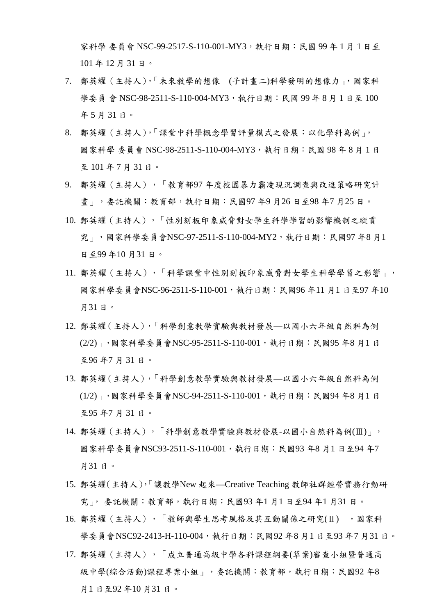家科學 委員會 NSC-99-2517-S-110-001-MY3, 執行日期: 民國 99年1月1日至 101 年 12 月 31 日。

- 7. 鄭英耀(主持人),「未來教學的想像-(子計畫二)科學發明的想像力」,國家科 學委員 會 NSC-98-2511-S-110-004-MY3, 執行日期: 民國 99 年 8 月 1 日至 100 年 5 月 31 日。
- 8. 鄭英耀(主持人),「課堂中科學概念學習評量模式之發展:以化學科為例」, 國家科學 委員會 NSC-98-2511-S-110-004-MY3, 執行日期: 民國 98年8月1日 至 101 年 7 月 31 日。
- 9. 鄭英耀(主持人),「教育部97年度校園暴力霸凌現況調查與改進策略研究計 畫」,委託機關:教育部,執行日期:民國97 年9 月26 日至98 年7 月25 日。
- 10. 鄭英耀(主持人),「性別刻板印象威脅對女學生科學學習的影響機制之縱貫 究 | ,國家科學委員會NSC-97-2511-S-110-004-MY2,執行日期:民國97 年8 月1 日至99 年10 月31 日。
- 11. 鄭英耀(主持人),「科學課堂中性別刻板印象威脅對女學生科學學習之影響」, 國家科學委員會NSC-96-2511-S-110-001,執行日期:民國96 年11 月1 日至97 年10 月31 日。
- 12. 鄭英耀(主持人),「科學創意教學實驗與教材發展—以國小六年級自然科為例 (2/2)」,國家科學委員會NSC-95-2511-S-110-001,執行日期:民國95 年8 月1 日 至96 年7 月 31 日。
- 13. 鄭英耀(主持人),「科學創意教學實驗與教材發展—以國小六年級自然科為例 (1/2)」,國家科學委員會NSC-94-2511-S-110-001,執行日期:民國94 年8 月1 日 至95 年7 月 31 日。
- 14. 鄭英耀(主持人),「科學創意教學實驗與教材發展-以國小自然科為例(Ⅲ)」, 國家科學委員會NSC93-2511-S-110-001,執行日期: 民國93 年8 月1 日至94 年7 月31 日。
- 15. 鄭英耀(主持人),「讓教學New 起來—Creative Teaching 教師社群經營實務行動研 究」, 委託機關:教育部,執行日期:民國93 年1 月1 日至94 年1 月31 日。
- 16. 鄭英耀(主持人),「教師與學生思考風格及其互動關係之研究(Ⅱ)」,國家科 學委員會NSC92-2413-H-110-004,執行日期:民國92 年8 月1 日至93 年7 月31 日。
- 17. 鄭英耀(主持人),「成立普通高級中學各科課程綱要(草案)審查小組暨普通高 級中學(綜合活動)課程專案小組」,委託機關:教育部,執行日期:民國92年8 月1 日至92 年10 月31 日。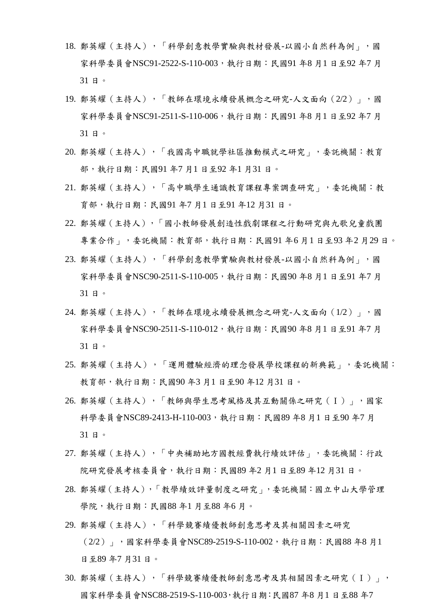- 18. 鄭英耀(主持人),「科學創意教學實驗與教材發展-以國小自然科為例」,國 家科學委員會NSC91-2522-S-110-003,執行日期: 民國91 年8 月1 日至92 年7 月 31 日。
- 19. 鄭英耀(主持人),「教師在環境永續發展概念之研究-人文面向 (2/2) 」,國 家科學委員會NSC91-2511-S-110-006,執行日期:民國91 年8 月1 日至92 年7 月 31 日。
- 20. 鄭英耀(主持人),「我國高中職就學社區推動模式之研究」,委託機關:教育 部,執行日期:民國91年7月1日至92年1月31日。
- 21. 鄭英耀(主持人),「高中職學生通識教育課程專案調查研究」,委託機關:教 育部,執行日期:民國91 年7 月1 日至91 年12 月31 日。
- 22. 鄭英耀(主持人),「國小教師發展創造性戲劇課程之行動研究與九歌兒童戲團 專業合作」,委託機關:教育部,執行日期:民國91 年6 月1 日至93 年2 月29 日。
- 23. 鄭英耀(主持人),「科學創意教學實驗與教材發展-以國小自然科為例」,國 家科學委員會NSC90-2511-S-110-005,執行日期:民國90 年8 月1 日至91 年7 月 31 日。
- 24. 鄭英耀(主持人),「教師在環境永續發展概念之研究-人文面向(1/2)」,國 家科學委員會NSC90-2511-S-110-012,執行日期:民國90年8月1日至91年7月 31 日。
- 25. 鄭英耀(主持人),「運用體驗經濟的理念發展學校課程的新典範」,委託機關: 教育部,執行日期:民國90 年3 月1 日至90 年12 月31 日。
- 26. 鄭英耀(主持人),「教師與學生思考風格及其互動關係之研究(Ⅰ)」,國家 科學委員會NSC89-2413-H-110-003,執行日期:民國89 年8 月1 日至90 年7 月 31 日。
- 27. 鄭英耀(主持人),「中央補助地方國教經費執行績效評估」,委託機關:行政 院研究發展考核委員會,執行日期:民國89 年2 月1 日至89 年12 月31 日。
- 28. 鄭英耀(主持人),「教學績效評量制度之研究」,委託機關:國立中山大學管理 學院,執行日期:民國88 年1 月至88 年6 月。
- 29. 鄭英耀(主持人),「科學競賽績優教師創意思考及其相關因素之研究 (2/2)」,國家科學委員會NSC89-2519-S-110-002,執行日期:民國88 年8 月1 日至89 年7 月31 日。
- 30. 鄭英耀(主持人),「科學競賽績優教師創意思考及其相關因素之研究(Ⅰ)」, 國家科學委員會NSC88-2519-S-110-003,執行日期:民國87 年8 月1 日至88 年7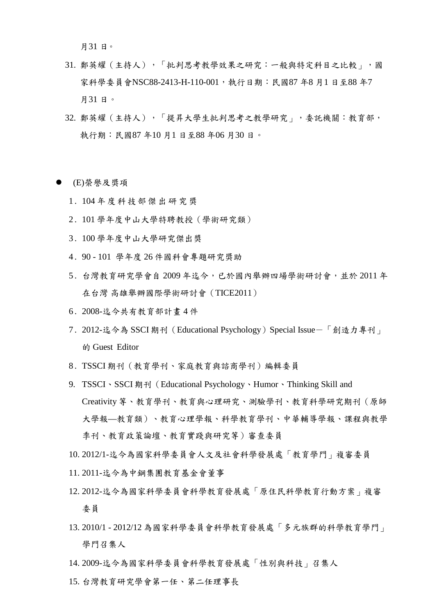月31 日。

- 31. 鄭英耀(主持人),「批判思考教學效果之研究:一般與特定科目之比較」,國 家科學委員會NSC88-2413-H-110-001,執行日期:民國87年8月1日至88年7 月31 日。
- 32. 鄭英耀(主持人),「提昇大學生批判思考之教學研究」,委託機關:教育部, 執行期:民國87 年10 月1 日至88 年06 月30 日。
- (E)榮譽及獎項
	- 1 . 104 年度科技部傑出研究獎
	- 2 . 101 學年度中山大學特聘教授(學術研究類)
	- 3 . 100 學年度中山大學研究傑出獎
	- 4 . 90 101 學年度 26 件國科會專題研究獎助
	- 5 . 台灣教育研究學會自 2009 年迄今,已於國內舉辦四場學術研討會,並於 2011 年 在台灣 高雄舉辦國際學術研討會(TICE2011)
	- 6 . 2008-迄今共有教育部計畫 4 件
	- 7 . 2012-迄今為 SSCI 期刊(Educational Psychology)Special Issue-「創造力專刊」 的 Guest Editor
	- 8 . TSSCI 期刊(教育學刊、家庭教育與諮商學刊)編輯委員
	- 9. TSSCI、SSCI 期刊(Educational Psychology、Humor、Thinking Skill and Creativity 等、教育學刊、教育與心理研究、測驗學刊、教育科學研究期刊(原師 大學報—教育類)、教育心理學報、科學教育學刊、中華輔導學報、課程與教學 季刊、教育政策論壇、教育實踐與研究等)審查委員
	- 10. 2012/1-迄今為國家科學委員會人文及社會科學發展處「教育學門」複審委員
	- 11. 2011-迄今為中鋼集團教育基金會董事
	- 12. 2012-迄今為國家科學委員會科學教育發展處「原住民科學教育行動方案」複審 委員
	- 13. 2010/1 2012/12 為國家科學委員會科學教育發展處「多元族群的科學教育學門」 學門召集人
	- 14. 2009-迄今為國家科學委員會科學教育發展處「性別與科技」召集人
	- 15. 台灣教育研究學會第一任、第二任理事長